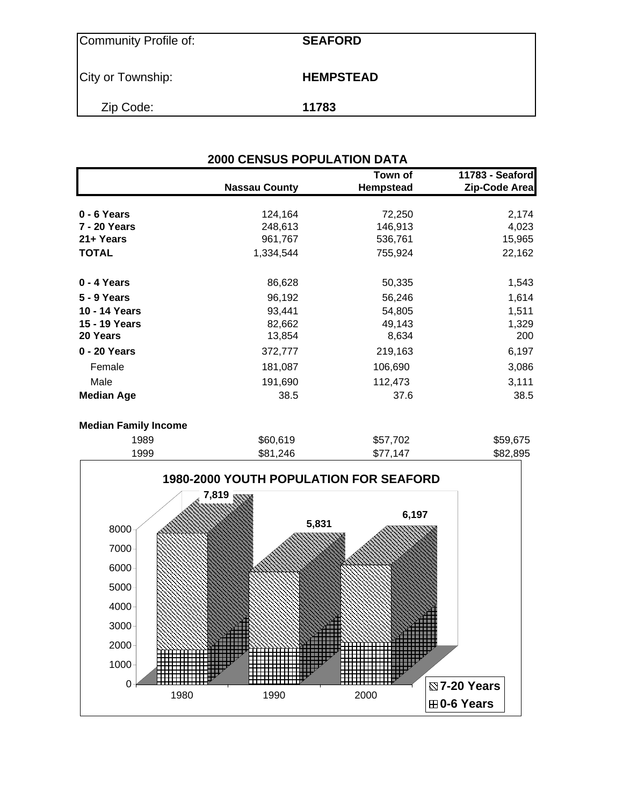| Community Profile of: | <b>SEAFORD</b>   |
|-----------------------|------------------|
| City or Township:     | <b>HEMPSTEAD</b> |
| Zip Code:             | 11783            |

| <b>2000 CENSUS POPULATION DATA</b> |                      |                             |                                  |  |  |  |  |  |
|------------------------------------|----------------------|-----------------------------|----------------------------------|--|--|--|--|--|
|                                    | <b>Nassau County</b> | Town of<br><b>Hempstead</b> | 11783 - Seaford<br>Zip-Code Area |  |  |  |  |  |
| $0 - 6$ Years                      | 124,164              | 72,250                      | 2,174                            |  |  |  |  |  |
| 7 - 20 Years                       | 248,613              | 146,913                     | 4,023                            |  |  |  |  |  |
| 21+ Years                          | 961,767              | 536,761                     | 15,965                           |  |  |  |  |  |
| <b>TOTAL</b>                       | 1,334,544            | 755,924                     | 22,162                           |  |  |  |  |  |
| 0 - 4 Years                        | 86,628               | 50,335                      | 1,543                            |  |  |  |  |  |
| 5 - 9 Years                        | 96,192               | 56,246                      | 1,614                            |  |  |  |  |  |
| 10 - 14 Years                      | 93,441               | 54,805                      | 1,511                            |  |  |  |  |  |
| 15 - 19 Years<br>20 Years          | 82,662<br>13,854     | 49,143<br>8,634             | 1,329<br>200                     |  |  |  |  |  |
| 0 - 20 Years                       | 372,777              | 219,163                     | 6,197                            |  |  |  |  |  |
| Female                             | 181,087              | 106,690                     | 3,086                            |  |  |  |  |  |
| Male                               | 191,690              | 112,473                     | 3,111                            |  |  |  |  |  |
| <b>Median Age</b>                  | 38.5                 | 37.6                        | 38.5                             |  |  |  |  |  |

#### **Median Family Income**

| 1989 | \$60,619 | \$57,702 | \$59,675 |
|------|----------|----------|----------|
| 1999 | \$81,246 | \$77,147 | \$82,895 |

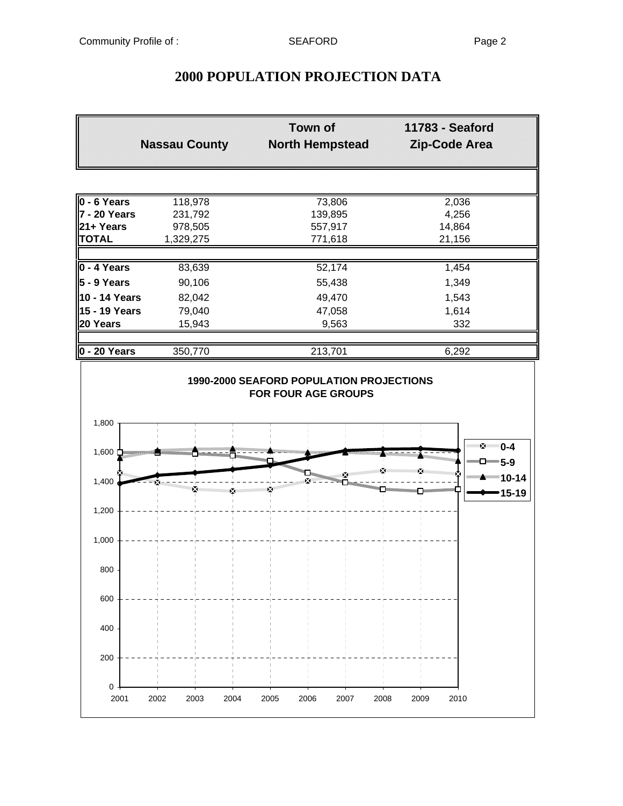| <b>Nassau County</b> |           | <b>Town of</b><br><b>North Hempstead</b> | 11783 - Seaford<br>Zip-Code Area |
|----------------------|-----------|------------------------------------------|----------------------------------|
|                      |           |                                          |                                  |
| $0 - 6$ Years        | 118,978   | 73,806                                   | 2,036                            |
| 7 - 20 Years         | 231,792   | 139,895                                  | 4,256                            |
| 21+ Years            | 978,505   | 557,917                                  | 14,864                           |
| <b>TOTAL</b>         | 1,329,275 | 771,618                                  | 21,156                           |
|                      |           |                                          |                                  |
| $\vert 0 - 4$ Years  | 83,639    | 52,174                                   | 1,454                            |
| 5 - 9 Years          | 90,106    | 55,438                                   | 1,349                            |
| 10 - 14 Years        | 82,042    | 49,470                                   | 1,543                            |
| 15 - 19 Years        | 79,040    | 47,058                                   | 1,614                            |
| 20 Years             | 15,943    | 9,563                                    | 332                              |
| $ 0 - 20$ Years      | 350,770   | 213,701                                  | 6,292                            |
|                      |           |                                          |                                  |
|                      |           | 1990-2000 SEAFORD POPULATION PROJECTIONS |                                  |
|                      |           | <b>FOR FOUR AGE GROUPS</b>               |                                  |
| 1,800                |           |                                          |                                  |
|                      |           |                                          |                                  |
|                      |           |                                          | ে ⊻ 0-4                          |
| 1,600 ウ              |           |                                          | <b>Million Scott</b>             |

## **2000 POPULATION PROJECTION DATA**

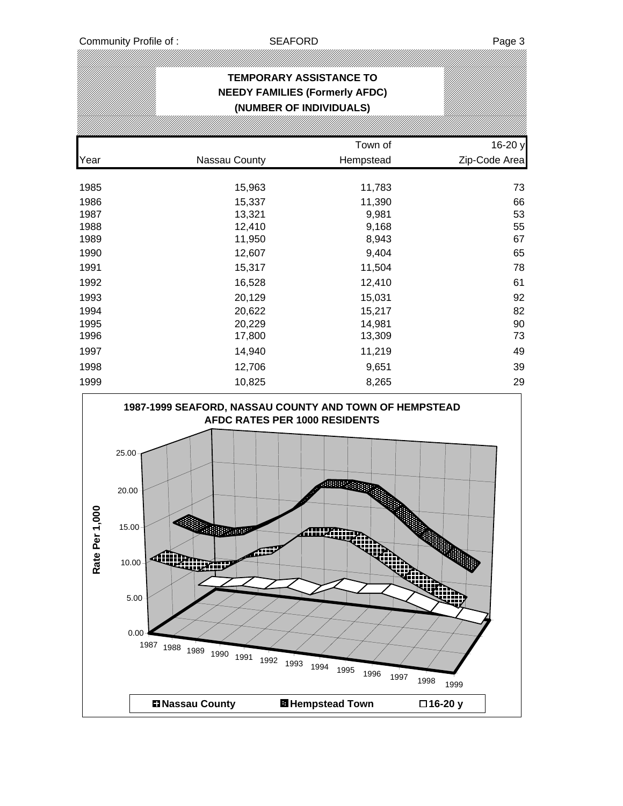| <b>TEMPORARY ASSISTANCE TO</b><br><b>NEEDY FAMILIES (Formerly AFDC)</b><br>(NUMBER OF INDIVIDUALS) |               |           |               |  |  |  |  |  |  |
|----------------------------------------------------------------------------------------------------|---------------|-----------|---------------|--|--|--|--|--|--|
|                                                                                                    |               | Town of   | 16-20 y       |  |  |  |  |  |  |
| Year                                                                                               | Nassau County | Hempstead | Zip-Code Area |  |  |  |  |  |  |
| 1985                                                                                               | 15,963        | 11,783    | 73            |  |  |  |  |  |  |
| 1986                                                                                               | 15,337        | 11,390    | 66            |  |  |  |  |  |  |
| 1987                                                                                               | 13,321        | 9,981     | 53            |  |  |  |  |  |  |
| 1988                                                                                               | 12,410        | 9,168     | 55            |  |  |  |  |  |  |
| 1989                                                                                               | 11,950        | 8,943     | 67            |  |  |  |  |  |  |
| 1990                                                                                               | 12,607        | 9,404     | 65            |  |  |  |  |  |  |
| 1991                                                                                               | 15,317        | 11,504    | 78            |  |  |  |  |  |  |
| 1992                                                                                               | 16,528        | 12,410    | 61            |  |  |  |  |  |  |
| 1993                                                                                               | 20,129        | 15,031    | 92            |  |  |  |  |  |  |
| 1994                                                                                               | 20,622        | 15,217    | 82            |  |  |  |  |  |  |
| 1995                                                                                               | 20,229        | 14,981    | 90            |  |  |  |  |  |  |
| 1996                                                                                               | 17,800        | 13,309    | 73            |  |  |  |  |  |  |
| 1997                                                                                               | 14,940        | 11,219    | 49            |  |  |  |  |  |  |
| 1998                                                                                               | 12,706        | 9,651     | 39            |  |  |  |  |  |  |
| 1999                                                                                               | 10,825        | 8,265     | 29            |  |  |  |  |  |  |

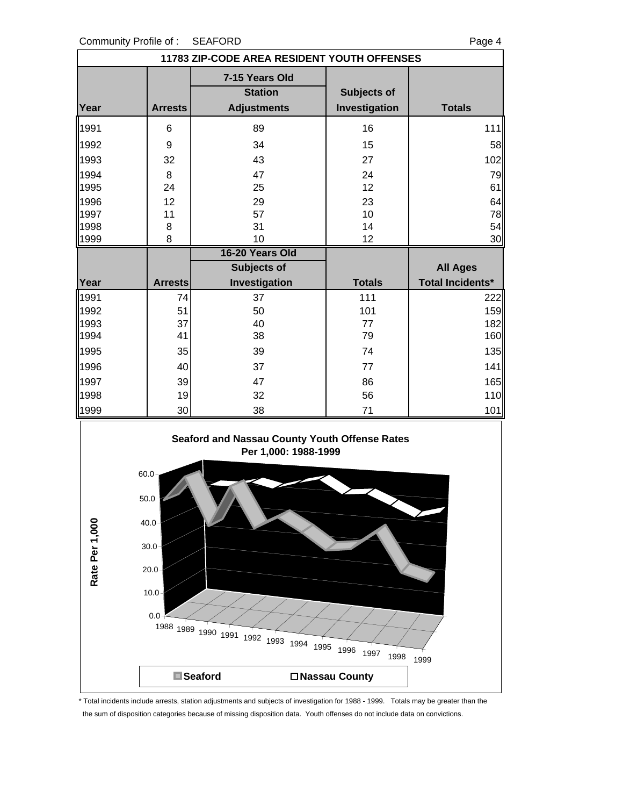| 11783 ZIP-CODE AREA RESIDENT YOUTH OFFENSES |                |                                  |               |                         |  |  |  |
|---------------------------------------------|----------------|----------------------------------|---------------|-------------------------|--|--|--|
|                                             |                | 7-15 Years Old<br><b>Station</b> | Subjects of   |                         |  |  |  |
| Year                                        | <b>Arrests</b> | <b>Adjustments</b>               | Investigation | <b>Totals</b>           |  |  |  |
| 1991                                        | 6              | 89                               | 16            | 111                     |  |  |  |
| 1992                                        | 9              | 34                               | 15            | 58                      |  |  |  |
| 1993                                        | 32             | 43                               | 27            | 102                     |  |  |  |
| 1994                                        | 8              | 47                               | 24            | 79                      |  |  |  |
| 1995                                        | 24             | 25                               | 12            | 61                      |  |  |  |
| 1996                                        | 12             | 29                               | 23            | 64                      |  |  |  |
| 1997                                        | 11             | 57                               | 10            | 78                      |  |  |  |
| 1998                                        | 8              | 31                               | 14            | 54                      |  |  |  |
| 1999                                        | 8              | 10                               | 12            | 30                      |  |  |  |
|                                             |                | 16-20 Years Old                  |               |                         |  |  |  |
|                                             |                | <b>Subjects of</b>               |               | <b>All Ages</b>         |  |  |  |
| Year                                        | <b>Arrests</b> | Investigation                    | <b>Totals</b> | <b>Total Incidents*</b> |  |  |  |
| 1991                                        | 74             | 37                               | 111           | 222                     |  |  |  |
| 1992                                        | 51             | 50                               | 101           | 159                     |  |  |  |
| 1993                                        | 37             | 40                               | 77            | 182                     |  |  |  |
| 1994                                        | 41             | 38                               | 79            | 160                     |  |  |  |
| 1995                                        | 35             | 39                               | 74            | 135                     |  |  |  |
| 1996                                        | 40             | 37                               | 77            | 141                     |  |  |  |
| 1997                                        | 39             | 47                               | 86            | 165                     |  |  |  |
| 1998                                        | 19             | 32                               | 56            | 110                     |  |  |  |
| 1999                                        | 30             | 38                               | 71            | 101                     |  |  |  |





<sup>\*</sup> Total incidents include arrests, station adjustments and subjects of investigation for 1988 - 1999. Totals may be greater than the the sum of disposition categories because of missing disposition data. Youth offenses do not include data on convictions.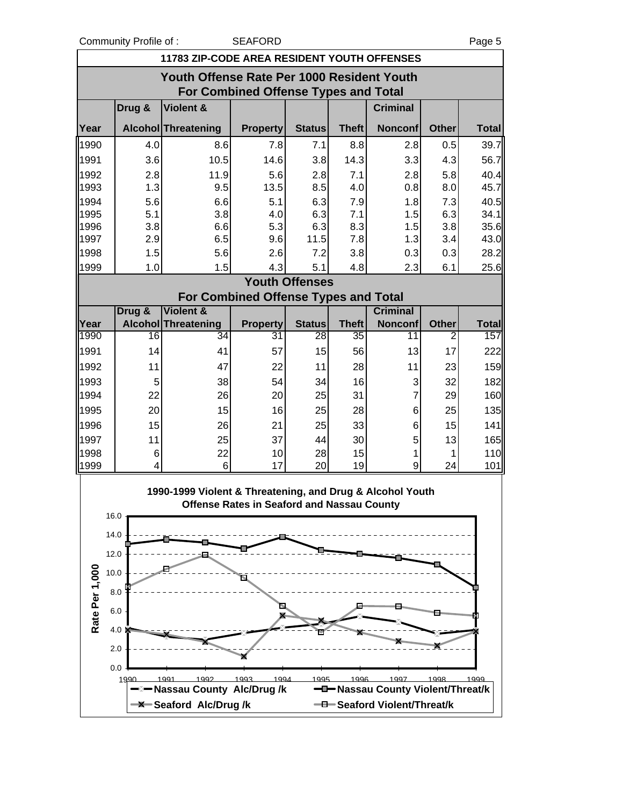Community Profile of : SEAFORD Page 5

| 11783 ZIP-CODE AREA RESIDENT YOUTH OFFENSES                                               |                 |                                                           |                                                   |                       |                 |                                         |              |              |  |  |
|-------------------------------------------------------------------------------------------|-----------------|-----------------------------------------------------------|---------------------------------------------------|-----------------------|-----------------|-----------------------------------------|--------------|--------------|--|--|
| Youth Offense Rate Per 1000 Resident Youth<br><b>For Combined Offense Types and Total</b> |                 |                                                           |                                                   |                       |                 |                                         |              |              |  |  |
|                                                                                           | Drug &          | Violent &                                                 |                                                   |                       |                 | <b>Criminal</b>                         |              |              |  |  |
| Year                                                                                      |                 | Alcohol Threatening                                       | <b>Property</b>                                   | <b>Status</b>         | <b>Theft</b>    | <b>Nonconf</b>                          | <b>Other</b> | <b>Total</b> |  |  |
| 1990                                                                                      | 4.0             | 8.6                                                       | 7.8                                               | 7.1                   | 8.8             | 2.8                                     | 0.5          | 39.7         |  |  |
| 1991                                                                                      | 3.6             | 10.5                                                      | 14.6                                              | 3.8                   | 14.3            | 3.3                                     | 4.3          | 56.7         |  |  |
| 1992                                                                                      | 2.8             | 11.9                                                      | 5.6                                               | 2.8                   | 7.1             | 2.8                                     | 5.8          | 40.4         |  |  |
| 1993                                                                                      | 1.3             | 9.5                                                       | 13.5                                              | 8.5                   | 4.0             | 0.8                                     | 8.0          | 45.7         |  |  |
| 1994                                                                                      | 5.6             | 6.6                                                       | 5.1                                               | 6.3                   | 7.9             | 1.8                                     | 7.3          | 40.5         |  |  |
| 1995<br>1996                                                                              | 5.1<br>3.8      | 3.8<br>6.6                                                | 4.0<br>5.3                                        | 6.3<br>6.3            | 7.1<br>8.3      | 1.5<br>1.5                              | 6.3<br>3.8   | 34.1<br>35.6 |  |  |
| 1997                                                                                      | 2.9             | 6.5                                                       | 9.6                                               | 11.5                  | 7.8             | 1.3                                     | 3.4          | 43.0         |  |  |
| 1998                                                                                      | 1.5             | 5.6                                                       | 2.6                                               | 7.2                   | 3.8             | 0.3                                     | 0.3          | 28.2         |  |  |
| 1999                                                                                      | 1.0             | 1.5                                                       | 4.3                                               | 5.1                   | 4.8             | 2.3                                     | 6.1          | 25.6         |  |  |
|                                                                                           |                 |                                                           |                                                   | <b>Youth Offenses</b> |                 |                                         |              |              |  |  |
|                                                                                           |                 | For Combined Offense Types and Total                      |                                                   |                       |                 |                                         |              |              |  |  |
|                                                                                           | Drug &          | <b>Violent &amp;</b>                                      |                                                   |                       |                 | <b>Criminal</b>                         |              |              |  |  |
| Year                                                                                      |                 | Alcohol Threatening                                       | <b>Property</b>                                   | <b>Status</b>         | <b>Theft</b>    | <b>Nonconf</b>                          | <b>Other</b> | <b>Total</b> |  |  |
| 1990                                                                                      | $\overline{16}$ | 34                                                        | 31                                                | 28                    | $\overline{35}$ | $\overline{11}$                         | 2            | 157          |  |  |
| 1991                                                                                      | 14              | 41                                                        | 57                                                | 15                    | 56              | 13                                      | 17           | 222          |  |  |
| 1992                                                                                      | 11              | 47                                                        | 22                                                | 11                    | 28              | 11                                      | 23           | 159          |  |  |
| 1993                                                                                      | 5               | 38                                                        | 54                                                | 34                    | 16              | 3                                       | 32           | 182          |  |  |
| 1994                                                                                      | 22              | 26                                                        | 20                                                | 25                    | 31              | $\overline{7}$                          | 29           | 160          |  |  |
| 1995                                                                                      | 20              | 15                                                        | 16                                                | 25                    | 28              | 6                                       | 25           | 135          |  |  |
| 1996                                                                                      | 15              | 26                                                        | 21                                                | 25                    | 33              | 6                                       | 15           | 141          |  |  |
| 1997<br>1998                                                                              | 11<br>6         | 25<br>22                                                  | 37<br>10                                          | 44<br>28              | 30<br>15        | 5<br>1                                  | 13<br>1      | 165<br>110   |  |  |
| 1999                                                                                      | 4               | 6                                                         | 17                                                | 20                    | 19              | 9                                       | 24           | 101          |  |  |
|                                                                                           |                 |                                                           |                                                   |                       |                 |                                         |              |              |  |  |
| 16.0                                                                                      |                 | 1990-1999 Violent & Threatening, and Drug & Alcohol Youth | <b>Offense Rates in Seaford and Nassau County</b> |                       |                 |                                         |              |              |  |  |
| 14.0                                                                                      |                 |                                                           |                                                   |                       |                 |                                         |              |              |  |  |
| 12.0                                                                                      |                 |                                                           |                                                   |                       |                 |                                         |              |              |  |  |
|                                                                                           |                 |                                                           |                                                   |                       |                 |                                         |              |              |  |  |
| 10.0                                                                                      |                 |                                                           |                                                   |                       |                 |                                         |              |              |  |  |
|                                                                                           | 8.0             |                                                           |                                                   |                       |                 |                                         |              |              |  |  |
| Rate Per 1,000                                                                            | 6.0             |                                                           |                                                   |                       |                 |                                         |              |              |  |  |
|                                                                                           | 4.0             |                                                           |                                                   |                       |                 |                                         |              |              |  |  |
|                                                                                           |                 |                                                           |                                                   |                       |                 |                                         |              |              |  |  |
|                                                                                           | 2.0             |                                                           |                                                   |                       |                 |                                         |              |              |  |  |
|                                                                                           | 0.0             |                                                           |                                                   |                       |                 |                                         |              |              |  |  |
|                                                                                           | 1990            | 1992<br>199<br>Nassau County Alc/Drug /k                  | 1994<br>1993                                      | 1995                  | 1996            | 1997<br>-Nassau County Violent/Threat/k | 1998         | 1999         |  |  |
|                                                                                           |                 | -X-Seaford Alc/Drug/k                                     |                                                   |                       |                 | - Seaford Violent/Threat/k              |              |              |  |  |
|                                                                                           |                 |                                                           |                                                   |                       |                 |                                         |              |              |  |  |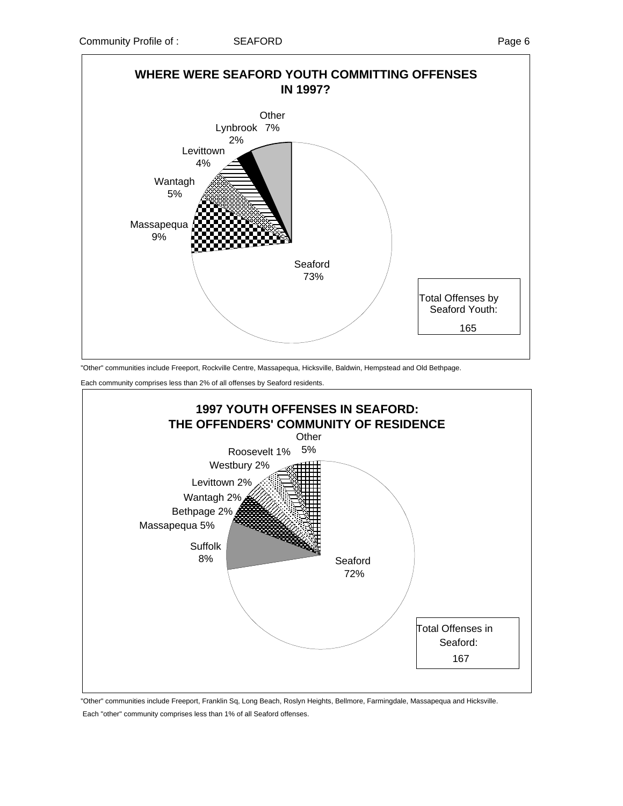

"Other" communities include Freeport, Rockville Centre, Massapequa, Hicksville, Baldwin, Hempstead and Old Bethpage.

Each community comprises less than 2% of all offenses by Seaford residents.



 "Other" communities include Freeport, Franklin Sq, Long Beach, Roslyn Heights, Bellmore, Farmingdale, Massapequa and Hicksville. Each "other" community comprises less than 1% of all Seaford offenses.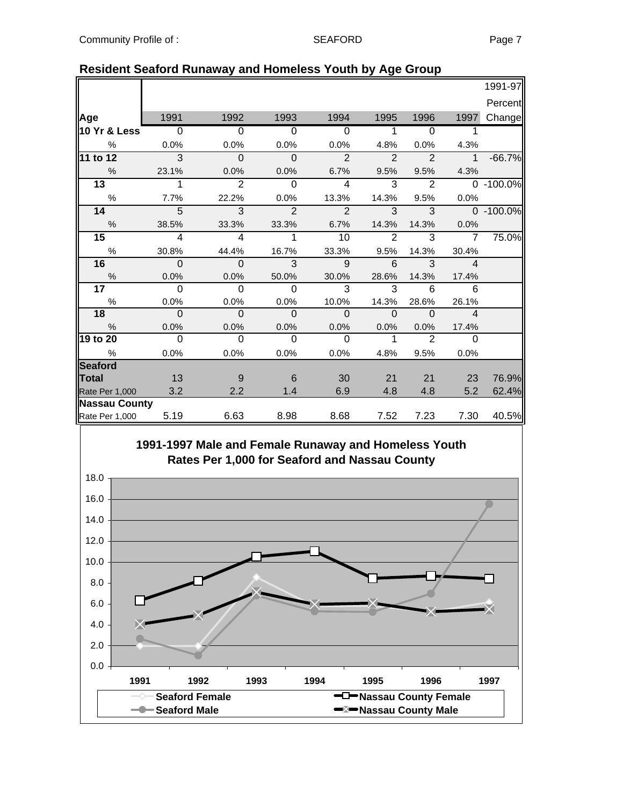|                     |                           |                            |                           |                            |                            |                          |                          | 1991-97         |
|---------------------|---------------------------|----------------------------|---------------------------|----------------------------|----------------------------|--------------------------|--------------------------|-----------------|
|                     |                           |                            |                           |                            |                            |                          |                          | Percent         |
| Age                 | 1991                      | 1992                       | 1993                      | 1994                       | 1995                       | 1996                     | 1997                     | Change          |
| 10 Yr & Less        | $\overline{0}$            | $\overline{0}$             | $\overline{\phantom{0}}$  | $\overline{0}$             | $\overline{\phantom{0}}$ 1 | $\overline{\phantom{0}}$ | $\mathbf 1$              |                 |
| $\frac{1}{2}$       | 0.0%                      | 0.0%                       | 0.0%                      | 0.0%                       | 4.8%                       | 0.0%                     | 4.3%                     |                 |
| 11 to 12            | $\overline{\phantom{0}3}$ | $\overline{\mathbf{0}}$    | $\overline{\phantom{0}}$  | $\overline{2}$             | $\overline{2}$             | $\overline{\phantom{a}}$ |                          | $1 -66.7%$      |
| $\%$                | 23.1%                     | 0.0%                       | 0.0%                      | 6.7%                       | 9.5%                       | 9.5%                     |                          | 4.3%            |
| 13 <sup>7</sup>     | $\mathbf{1}$              | $\overline{\phantom{0}}^2$ | $\overline{0}$            | $\overline{4}$             | 3                          | $\overline{2}$           |                          | $0 - 100.0\%$   |
| $\%$                | 7.7%                      | 22.2%                      | 0.0%                      | 13.3%                      | 14.3%                      | 9.5%                     | $0.0\%$                  |                 |
| 14                  | $\overline{5}$            | $\overline{\textbf{3}}$    | $\overline{2}$            | $\overline{\phantom{0}}$ 2 | 3 <sup>3</sup>             |                          |                          | $3 0 - 100.0\%$ |
| $\%$                | 38.5%                     | 33.3%                      | 33.3%                     | 6.7%                       | 14.3%                      | 14.3%                    | $0.0\%$                  |                 |
| 15                  | $\overline{4}$            | $\overline{\phantom{a}}$   | $\overline{1}$            | 10                         | $\overline{2}$             | $\overline{3}$           | $\overline{7}$           | 75.0%           |
| %                   | 30.8%                     | 44.4%                      | 16.7%                     | 33.3%                      | 9.5%                       | 14.3%                    | 30.4%                    |                 |
| 16                  | $\overline{\phantom{0}}$  | $\overline{\phantom{0}}$   | $\overline{\phantom{a}3}$ | $\overline{9}$             | $6^{\circ}$ 3              |                          | $-4$                     |                 |
| $\%$                | 0.0%                      | 0.0%                       | 50.0%                     | 30.0%                      | 28.6%                      | 14.3%                    | 17.4%                    |                 |
| 17                  | $\overline{0}$            | $\overline{0}$             | $\overline{0}$            | $\overline{\phantom{a}}$ 3 | $\overline{3}$             | $\overline{6}$           | $\overline{6}$           |                 |
| $\%$                | 0.0%                      | 0.0%                       | 0.0%                      | 10.0%                      | 14.3%                      | 28.6%                    | 26.1%                    |                 |
| 18                  | $\overline{\phantom{0}}$  | $\overline{0}$             | $\overline{\phantom{0}}$  | $\overline{\phantom{0}}$   | $\overline{\mathbf{0}}$    | $\overline{\phantom{0}}$ | $\overline{\phantom{a}}$ |                 |
| %                   | 0.0%                      | 0.0%                       | 0.0%                      | 0.0%                       | $0.0\%$                    | 0.0%                     | 17.4%                    |                 |
| 19 to 20            | $\overline{0}$            | $\Omega$                   | $\Omega$                  | $\overline{0}$             | $\mathbf{1}$               | 2                        | $\Omega$                 |                 |
| $\%$                | 0.0%                      | 0.0%                       | 0.0%                      | 0.0%                       | 4.8%                       | 9.5%                     | 0.0%                     |                 |
| Seaford             |                           |                            |                           |                            |                            |                          |                          |                 |
| Total               | 13                        | 9                          | - 6                       | 30                         | 21                         | 21                       | 23                       | 76.9%           |
| Rate Per 1,000      | 3.2                       | 2.2                        | 1.4                       | 6.9                        | 4.8                        | 4.8                      | 5.2                      | 62.4%           |
| Nassau County       |                           |                            |                           |                            |                            |                          |                          |                 |
| Rate Per 1,000 5.19 |                           | 6.63                       | 8.98                      | 8.68                       | 7.52                       | 7.23                     | 7.30                     | 40.5%           |

### **Resident Seaford Runaway and Homeless Youth by Age Group**

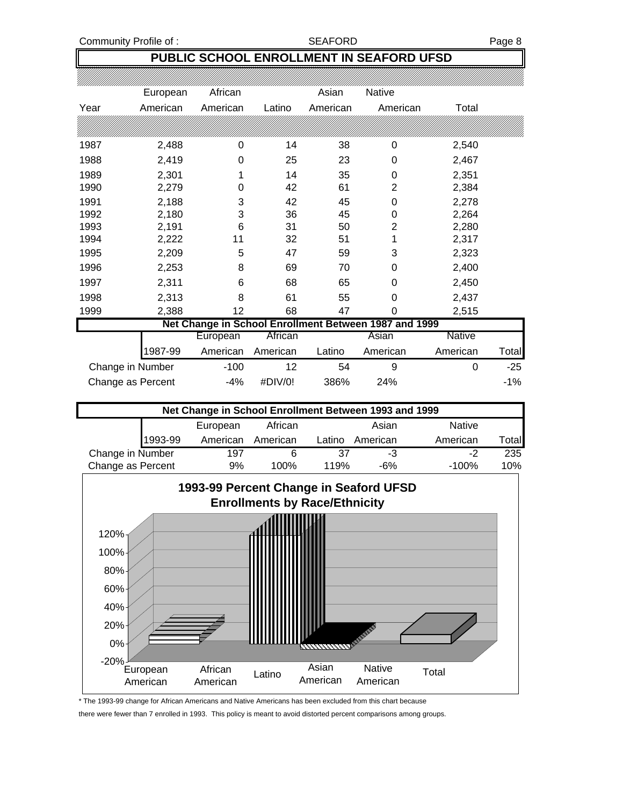### **PUBLIC SCHOOL ENROLLMENT IN SEAFORD UFSD**

|      | European          | African  |          | Asian    | <b>Native</b>                                         |          |       |
|------|-------------------|----------|----------|----------|-------------------------------------------------------|----------|-------|
| Year | American          | American | Latino   | American | American                                              | Total    |       |
|      |                   |          |          |          |                                                       |          |       |
| 1987 | 2,488             | 0        | 14       | 38       | 0                                                     | 2,540    |       |
| 1988 | 2,419             | 0        | 25       | 23       | 0                                                     | 2,467    |       |
| 1989 | 2,301             |          | 14       | 35       | 0                                                     | 2,351    |       |
| 1990 | 2,279             | 0        | 42       | 61       | $\overline{2}$                                        | 2,384    |       |
| 1991 | 2,188             | 3        | 42       | 45       | 0                                                     | 2,278    |       |
| 1992 | 2,180             | 3        | 36       | 45       | 0                                                     | 2,264    |       |
| 1993 | 2,191             | 6        | 31       | 50       | 2                                                     | 2,280    |       |
| 1994 | 2,222             | 11       | 32       | 51       | 1                                                     | 2,317    |       |
| 1995 | 2,209             | 5        | 47       | 59       | 3                                                     | 2,323    |       |
| 1996 | 2,253             | 8        | 69       | 70       | 0                                                     | 2,400    |       |
| 1997 | 2,311             | 6        | 68       | 65       | 0                                                     | 2,450    |       |
| 1998 | 2,313             | 8        | 61       | 55       | 0                                                     | 2,437    |       |
| 1999 | 2,388             | 12       | 68       | 47       | 0                                                     | 2,515    |       |
|      |                   |          |          |          | Net Change in School Enrollment Between 1987 and 1999 |          |       |
|      |                   | European | African  |          | Asian                                                 | Native   |       |
|      | 1987-99           | American | American | Latino   | American                                              | American | Total |
|      | Change in Number  | $-100$   | 12       | 54       | 9                                                     | $\Omega$ | $-25$ |
|      | Change as Percent | -4%      | #DIV/0!  | 386%     | 24%                                                   |          | $-1%$ |

| Net Change in School Enrollment Between 1993 and 1999 |         |          |          |        |          |               |                |  |  |  |
|-------------------------------------------------------|---------|----------|----------|--------|----------|---------------|----------------|--|--|--|
|                                                       |         | European | African  |        | Asian    | <b>Native</b> |                |  |  |  |
|                                                       | 1993-99 | American | American | Latino | American | American      | Total <b>l</b> |  |  |  |
| Change in Number                                      |         | 197      |          | 37     | -3       | -2            | 235            |  |  |  |
| Change as Percent                                     |         | 9%       | 100%     | 119%   | $-6%$    | $-100%$       | 10%            |  |  |  |



\* The 1993-99 change for African Americans and Native Americans has been excluded from this chart because

there were fewer than 7 enrolled in 1993. This policy is meant to avoid distorted percent comparisons among groups.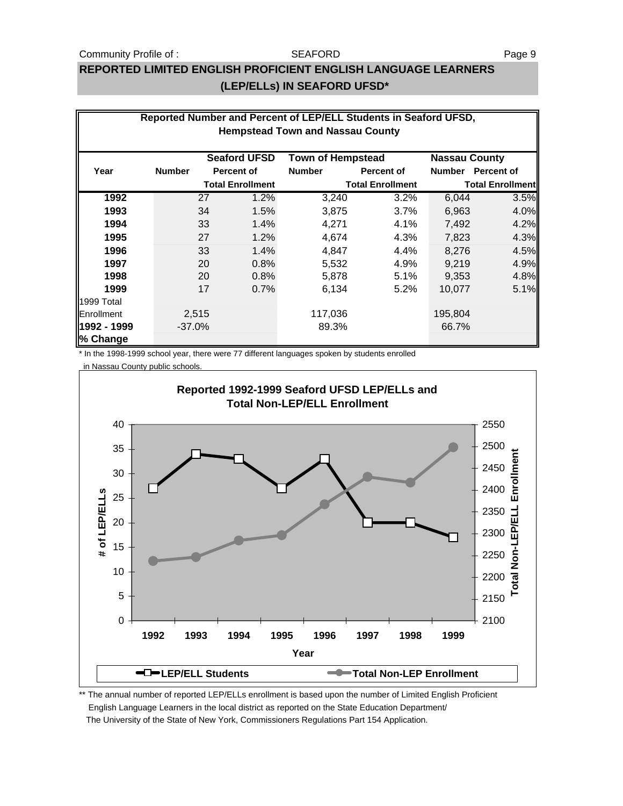#### Community Profile of : SEAFORD SEAFORD

#### **SEAFORD**

### **REPORTED LIMITED ENGLISH PROFICIENT ENGLISH LANGUAGE LEARNERS (LEP/ELLs) IN SEAFORD UFSD\***

| Reported Number and Percent of LEP/ELL Students in Seaford UFSD,<br><b>Hempstead Town and Nassau County</b> |               |       |                         |               |                         |               |                         |  |  |  |
|-------------------------------------------------------------------------------------------------------------|---------------|-------|-------------------------|---------------|-------------------------|---------------|-------------------------|--|--|--|
| <b>Seaford UFSD</b><br><b>Town of Hempstead</b><br><b>Nassau County</b>                                     |               |       |                         |               |                         |               |                         |  |  |  |
| Year                                                                                                        | <b>Number</b> |       | <b>Percent of</b>       | <b>Number</b> | <b>Percent of</b>       | <b>Number</b> | <b>Percent of</b>       |  |  |  |
|                                                                                                             |               |       | <b>Total Enrollment</b> |               | <b>Total Enrollment</b> |               | <b>Total Enrollment</b> |  |  |  |
| 1992                                                                                                        |               | 27    | 1.2%                    | 3,240         | 3.2%                    | 6,044         | 3.5%                    |  |  |  |
| 1993                                                                                                        |               | 34    | 1.5%                    | 3,875         | $3.7\%$                 | 6,963         | 4.0%                    |  |  |  |
| 1994                                                                                                        |               | 33    | 1.4%                    | 4,271         | 4.1%                    | 7,492         | 4.2%                    |  |  |  |
| 1995                                                                                                        |               | 27    | 1.2%                    | 4,674         | 4.3%                    | 7,823         | 4.3%                    |  |  |  |
| 1996                                                                                                        |               | 33    | 1.4%                    | 4,847         | 4.4%                    | 8,276         | 4.5%                    |  |  |  |
| 1997                                                                                                        |               | 20    | 0.8%                    | 5,532         | 4.9%                    | 9.219         | 4.9%                    |  |  |  |
| 1998                                                                                                        |               | 20    | 0.8%                    | 5,878         | 5.1%                    | 9,353         | 4.8%                    |  |  |  |
| 1999                                                                                                        |               | 17    | 0.7%                    | 6,134         | 5.2%                    | 10,077        | 5.1%                    |  |  |  |
| 1999 Total                                                                                                  |               |       |                         |               |                         |               |                         |  |  |  |
| Enrollment                                                                                                  |               | 2,515 |                         | 117,036       |                         | 195,804       |                         |  |  |  |
| 1992 - 1999                                                                                                 | $-37.0%$      |       |                         | 89.3%         |                         | 66.7%         |                         |  |  |  |
| % Change                                                                                                    |               |       |                         |               |                         |               |                         |  |  |  |

\* In the 1998-1999 school year, there were 77 different languages spoken by students enrolled

in Nassau County public schools.



\*\* The annual number of reported LEP/ELLs enrollment is based upon the number of Limited English Proficient English Language Learners in the local district as reported on the State Education Department/ The University of the State of New York, Commissioners Regulations Part 154 Application.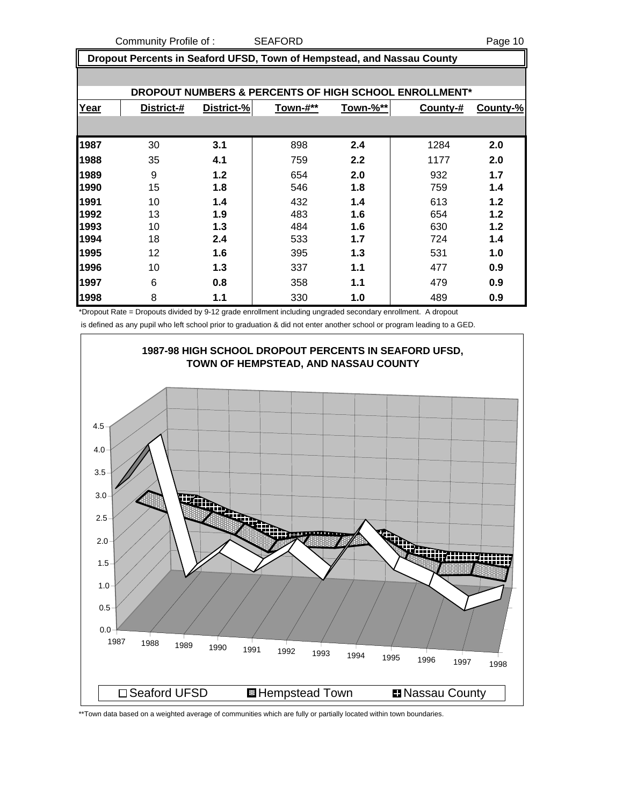Community Profile of : SEAFORD Page 10

 **Dropout Percents in Seaford UFSD, Town of Hempstead, and Nassau County**

|      |            |            |          |          | DROPOUT NUMBERS & PERCENTS OF HIGH SCHOOL ENROLLMENT* |          |
|------|------------|------------|----------|----------|-------------------------------------------------------|----------|
| Year | District-# | District-% | Town-#** | Town-%** | County-#                                              | County-% |
|      |            |            |          |          |                                                       |          |
| 1987 | 30         | 3.1        | 898      | 2.4      | 1284                                                  | 2.0      |
| 1988 | 35         | 4.1        | 759      | 2.2      | 1177                                                  | 2.0      |
| 1989 | 9          | 1.2        | 654      | 2.0      | 932                                                   | 1.7      |
| 1990 | 15         | 1.8        | 546      | 1.8      | 759                                                   | 1.4      |
| 1991 | 10         | 1.4        | 432      | 1.4      | 613                                                   | 1.2      |
| 1992 | 13         | 1.9        | 483      | 1.6      | 654                                                   | 1.2      |
| 1993 | 10         | 1.3        | 484      | 1.6      | 630                                                   | 1.2      |
| 1994 | 18         | 2.4        | 533      | 1.7      | 724                                                   | 1.4      |
| 1995 | 12         | 1.6        | 395      | 1.3      | 531                                                   | 1.0      |
| 1996 | 10         | 1.3        | 337      | 1.1      | 477                                                   | 0.9      |
| 1997 | 6          | 0.8        | 358      | 1.1      | 479                                                   | 0.9      |
| 1998 | 8          | 1.1        | 330      | 1.0      | 489                                                   | 0.9      |

\*Dropout Rate = Dropouts divided by 9-12 grade enrollment including ungraded secondary enrollment. A dropout

is defined as any pupil who left school prior to graduation & did not enter another school or program leading to a GED.



\*\*Town data based on a weighted average of communities which are fully or partially located within town boundaries.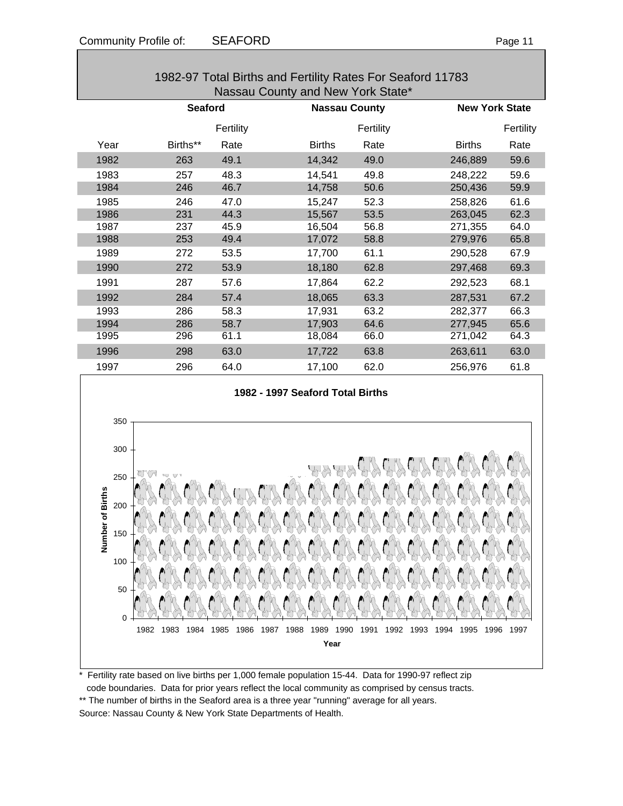| 1982-97 Total Births and Fertility Rates For Seaford 11783 |                |           |               |                      |               |                       |  |  |  |  |
|------------------------------------------------------------|----------------|-----------|---------------|----------------------|---------------|-----------------------|--|--|--|--|
| Nassau County and New York State*                          |                |           |               |                      |               |                       |  |  |  |  |
|                                                            | <b>Seaford</b> |           |               | <b>Nassau County</b> |               | <b>New York State</b> |  |  |  |  |
|                                                            |                | Fertility |               | Fertility            |               | Fertility             |  |  |  |  |
| Year                                                       | Births**       | Rate      | <b>Births</b> | Rate                 | <b>Births</b> | Rate                  |  |  |  |  |
| 1982                                                       | 263            | 49.1      | 14,342        | 49.0                 | 246,889       | 59.6                  |  |  |  |  |
| 1983                                                       | 257            | 48.3      | 14,541        | 49.8                 | 248,222       | 59.6                  |  |  |  |  |
| 1984                                                       | 246            | 46.7      | 14,758        | 50.6                 | 250,436       | 59.9                  |  |  |  |  |
| 1985                                                       | 246            | 47.0      | 15,247        | 52.3                 | 258,826       | 61.6                  |  |  |  |  |
| 1986                                                       | 231            | 44.3      | 15,567        | 53.5                 | 263,045       | 62.3                  |  |  |  |  |
| 1987                                                       | 237            | 45.9      | 16,504        | 56.8                 | 271,355       | 64.0                  |  |  |  |  |
| 1988                                                       | 253            | 49.4      | 17,072        | 58.8                 | 279,976       | 65.8                  |  |  |  |  |
| 1989                                                       | 272            | 53.5      | 17,700        | 61.1                 | 290,528       | 67.9                  |  |  |  |  |
| 1990                                                       | 272            | 53.9      | 18,180        | 62.8                 | 297,468       | 69.3                  |  |  |  |  |
| 1991                                                       | 287            | 57.6      | 17,864        | 62.2                 | 292,523       | 68.1                  |  |  |  |  |
| 1992                                                       | 284            | 57.4      | 18,065        | 63.3                 | 287,531       | 67.2                  |  |  |  |  |
| 1993                                                       | 286            | 58.3      | 17,931        | 63.2                 | 282,377       | 66.3                  |  |  |  |  |
| 1994                                                       | 286            | 58.7      | 17,903        | 64.6                 | 277,945       | 65.6                  |  |  |  |  |
| 1995                                                       | 296            | 61.1      | 18,084        | 66.0                 | 271,042       | 64.3                  |  |  |  |  |
| 1996                                                       | 298            | 63.0      | 17,722        | 63.8                 | 263,611       | 63.0                  |  |  |  |  |
| 1997                                                       | 296            | 64.0      | 17,100        | 62.0                 | 256,976       | 61.8                  |  |  |  |  |

# **1982 - 1997 Seaford Total Births** 350 300 250 Number of Births **Number of Births**200 150 100 50 0 1982 1983 1984 1985 1986 1987 1988 1989 1990 1991 1992 1993 1994 1995 1996 1997 **Year**

Fertility rate based on live births per 1,000 female population 15-44. Data for 1990-97 reflect zip code boundaries. Data for prior years reflect the local community as comprised by census tracts. \*\* The number of births in the Seaford area is a three year "running" average for all years. Source: Nassau County & New York State Departments of Health.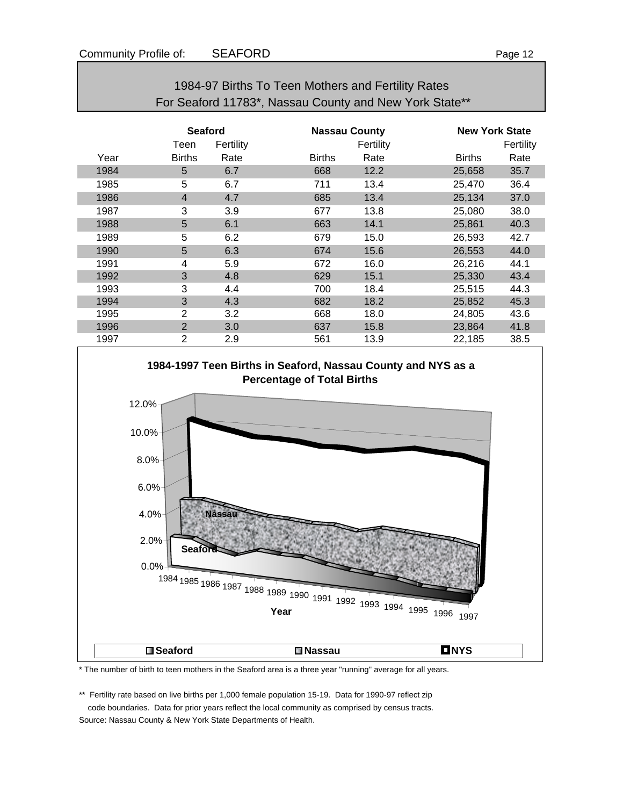|      | <b>Seaford</b> |           |               | <b>Nassau County</b> |               | <b>New York State</b> |  |
|------|----------------|-----------|---------------|----------------------|---------------|-----------------------|--|
|      | Teen           | Fertility |               | Fertility            |               | Fertility             |  |
| Year | <b>Births</b>  | Rate      | <b>Births</b> | Rate                 | <b>Births</b> | Rate                  |  |
| 1984 | 5              | 6.7       | 668           | 12.2                 | 25,658        | 35.7                  |  |
| 1985 | 5              | 6.7       | 711           | 13.4                 | 25,470        | 36.4                  |  |
| 1986 | $\overline{4}$ | 4.7       | 685           | 13.4                 | 25,134        | 37.0                  |  |
| 1987 | 3              | 3.9       | 677           | 13.8                 | 25,080        | 38.0                  |  |
| 1988 | 5              | 6.1       | 663           | 14.1                 | 25,861        | 40.3                  |  |
| 1989 | 5              | 6.2       | 679           | 15.0                 | 26,593        | 42.7                  |  |
| 1990 | 5              | 6.3       | 674           | 15.6                 | 26,553        | 44.0                  |  |
| 1991 | 4              | 5.9       | 672           | 16.0                 | 26,216        | 44.1                  |  |
| 1992 | 3              | 4.8       | 629           | 15.1                 | 25,330        | 43.4                  |  |
| 1993 | 3              | 4.4       | 700           | 18.4                 | 25,515        | 44.3                  |  |
| 1994 | 3              | 4.3       | 682           | 18.2                 | 25,852        | 45.3                  |  |
| 1995 | $\overline{2}$ | 3.2       | 668           | 18.0                 | 24,805        | 43.6                  |  |
| 1996 | 2              | 3.0       | 637           | 15.8                 | 23,864        | 41.8                  |  |
| 1997 | $\overline{2}$ | 2.9       | 561           | 13.9                 | 22,185        | 38.5                  |  |





\* The number of birth to teen mothers in the Seaford area is a three year "running" average for all years.

\*\* Fertility rate based on live births per 1,000 female population 15-19. Data for 1990-97 reflect zip code boundaries. Data for prior years reflect the local community as comprised by census tracts. Source: Nassau County & New York State Departments of Health.